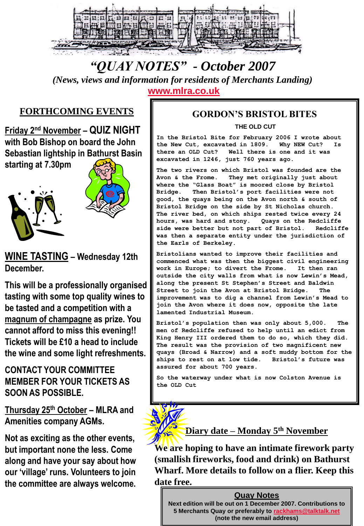

# *"QUAY NOTES" - October 2007*

*(News, views and information for residents of Merchants Landing)* 

**[www.mlra.co.uk](http://www.mlra.co.uk/)**

### **FORTHCOMING EVENTS**

**Friday 2nd November – QUIZ NIGHT with Bob Bishop on board the John Sebastian lightship in Bathurst Basin** 

**starting at 7.30pm**





### **WINE TASTING – Wednesday 12th December.**

**This will be a professionally organised tasting with some top quality wines to be tasted and a competition with a magnum of champagne as prize. You cannot afford to miss this evening!! Tickets will be £10 a head to include the wine and some light refreshments.**

### **CONTACT YOUR COMMITTEE MEMBER FOR YOUR TICKETS AS SOON AS POSSIBLE.**

**Thursday 25th October – MLRA and Amenities company AGMs.**

**Not as exciting as the other events, but important none the less. Come along and have your say about how our 'village' runs. Volunteers to join the committee are always welcome.**

### **GORDON'S BRISTOL BITES**

#### **THE OLD CUT**

**In the Bristol Bite for February 2006 I wrote about the New Cut, excavated in 1809. Why NEW Cut? Is there an OLD Cut? Well there is one and it was excavated in 1246, just 760 years ago.**

**The two rivers on which Bristol was founded are the Avon & the Frome. They met originally just about where the "Glass Boat" is moored close by Bristol Bridge. Then Bristol's port facilities were not good, the quays being on the Avon north & south of Bristol Bridge on the side by St Nicholas church. The river bed, on which ships rested twice every 24 hours, was hard and stony. Quays on the Redcliffe side were better but not part of Bristol. Redcliffe was then a separate entity under the jurisdiction of the Earls of Berkeley.**

**Bristolians wanted to improve their facilities and commenced what was then the biggest civil engineering work in Europe; to divert the Frome. It then ran outside the city walls from what is now Lewin's Mead, along the present St Stephen's Street and Baldwin**  Street to join the Avon at Bristol Bridge. **improvement was to dig a channel from Lewin's Mead to join the Avon where it does now, opposite the late lamented Industrial Museum.**

**Bristol's population then was only about 5,000. The men of Redcliffe refused to help until an edict from King Henry III ordered them to do so, which they did. The result was the provision of two magnificent new quays (Broad & Narrow) and a soft muddy bottom for the ships to rest on at low tide. Bristol's future was assured for about 700 years.**

**So the waterway under what is now Colston Avenue is the OLD Cut**

### **Diary date – Monday 5th November**

**We are hoping to have an intimate firework party (smallish fireworks, food and drink) on Bathurst Wharf. More details to follow on a flier. Keep this date free.**

#### **Quay Notes**

**Next edition will be out on 1 December 2007. Contributions to 5 Merchants Quay or preferably to [rackhams@talktalk.net](mailto:rackhams@talktalk.net) (note the new email address)**